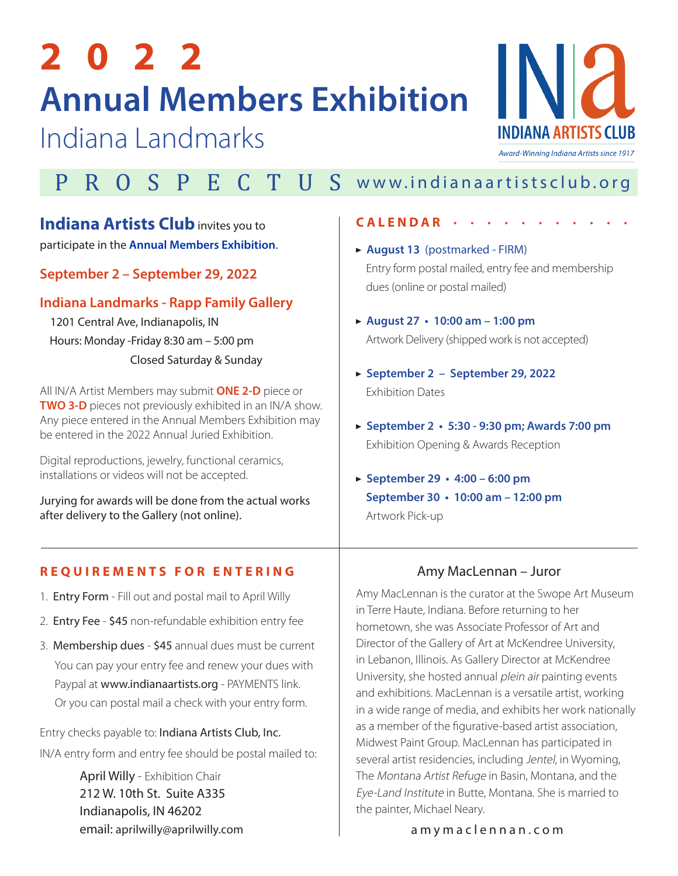# **2 0 2 2 Annual Members Exhibition**

Indiana Landmarks



# P R O S P E C T U S [www.indianaartistsclub.org](https://indianaartists.org)

# **Indiana Artists Club** invites you to

participate in the **Annual Members Exhibition**.

# **September 2 – September 29, 2022**

# **Indiana Landmarks - Rapp Family Gallery**

 1201 Central Ave, Indianapolis, IN Hours: Monday -Friday 8:30 am – 5:00 pm Closed Saturday & Sunday

All IN/A Artist Members may submit **ONE 2-D** piece or **TWO 3-D** pieces not previously exhibited in an IN/A show. Any piece entered in the Annual Members Exhibition may be entered in the 2022 Annual Juried Exhibition.

Digital reproductions, jewelry, functional ceramics, installations or videos will not be accepted.

Jurying for awards will be done from the actual works after delivery to the Gallery (not online).

### **REQUIREMENTS FOR ENTERING**

- 1. Entry Form Fill out and postal mail to April Willy
- 2. Entry Fee \$45 non-refundable exhibition entry fee
- 3. Membership dues \$45 annual dues must be current You can pay your entry fee and renew your dues with Paypal at www.indianaartists.org - PAYMENTS link. Or you can postal mail a check with your entry form.

Entry checks payable to: Indiana Artists Club, Inc. IN/A entry form and entry fee should be postal mailed to:

> April Willy - Exhibition Chair 212 W. 10th St. Suite A335 Indianapolis, IN 46202 email: aprilwilly@aprilwilly.com

#### **CALENDAR** • • • • • • • • • • •

## **August 13** (postmarked - FIRM) Entry form postal mailed, entry fee and membership dues (online or postal mailed)

- **August 27 10:00 am 1:00 pm**  Artwork Delivery (shipped work is not accepted)
- **September 2 September 29, 2022**  Exhibition Dates
- **September 2 5:30 9:30 pm; Awards 7:00 pm** Exhibition Opening & Awards Reception
- **September 29 4:00 6:00 pm September 30 • 10:00 am – 12:00 pm** Artwork Pick-up

# Amy MacLennan – Juror

Amy MacLennan is the curator at the Swope Art Museum in Terre Haute, Indiana. Before returning to her hometown, she was Associate Professor of Art and Director of the Gallery of Art at McKendree University, in Lebanon, Illinois. As Gallery Director at McKendree University, she hosted annual plein air painting events and exhibitions. MacLennan is a versatile artist, working in a wide range of media, and exhibits her work nationally as a member of the figurative-based artist association, Midwest Paint Group. MacLennan has participated in several artist residencies, including Jentel, in Wyoming, The Montana Artist Refuge in Basin, Montana, and the Eye-Land Institute in Butte, Montana. She is married to the painter, Michael Neary.

 [amymaclennan.com](https://amymaclennan.com)